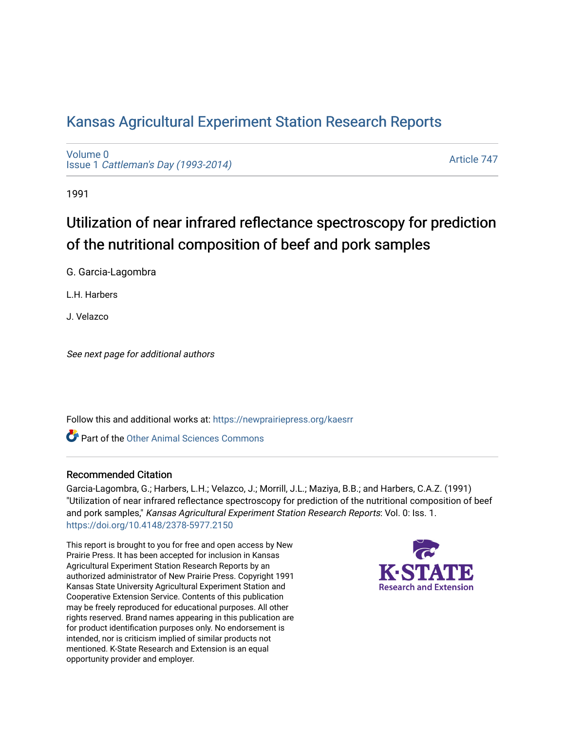# [Kansas Agricultural Experiment Station Research Reports](https://newprairiepress.org/kaesrr)

[Volume 0](https://newprairiepress.org/kaesrr/vol0) Issue 1 [Cattleman's Day \(1993-2014\)](https://newprairiepress.org/kaesrr/vol0/iss1) 

[Article 747](https://newprairiepress.org/kaesrr/vol0/iss1/747) 

1991

# Utilization of near infrared reflectance spectroscopy for prediction of the nutritional composition of beef and pork samples

G. Garcia-Lagombra

L.H. Harbers

J. Velazco

See next page for additional authors

Follow this and additional works at: [https://newprairiepress.org/kaesrr](https://newprairiepress.org/kaesrr?utm_source=newprairiepress.org%2Fkaesrr%2Fvol0%2Fiss1%2F747&utm_medium=PDF&utm_campaign=PDFCoverPages) 

**C** Part of the [Other Animal Sciences Commons](http://network.bepress.com/hgg/discipline/82?utm_source=newprairiepress.org%2Fkaesrr%2Fvol0%2Fiss1%2F747&utm_medium=PDF&utm_campaign=PDFCoverPages)

## Recommended Citation

Garcia-Lagombra, G.; Harbers, L.H.; Velazco, J.; Morrill, J.L.; Maziya, B.B.; and Harbers, C.A.Z. (1991) "Utilization of near infrared reflectance spectroscopy for prediction of the nutritional composition of beef and pork samples," Kansas Agricultural Experiment Station Research Reports: Vol. 0: Iss. 1. <https://doi.org/10.4148/2378-5977.2150>

This report is brought to you for free and open access by New Prairie Press. It has been accepted for inclusion in Kansas Agricultural Experiment Station Research Reports by an authorized administrator of New Prairie Press. Copyright 1991 Kansas State University Agricultural Experiment Station and Cooperative Extension Service. Contents of this publication may be freely reproduced for educational purposes. All other rights reserved. Brand names appearing in this publication are for product identification purposes only. No endorsement is intended, nor is criticism implied of similar products not mentioned. K-State Research and Extension is an equal opportunity provider and employer.

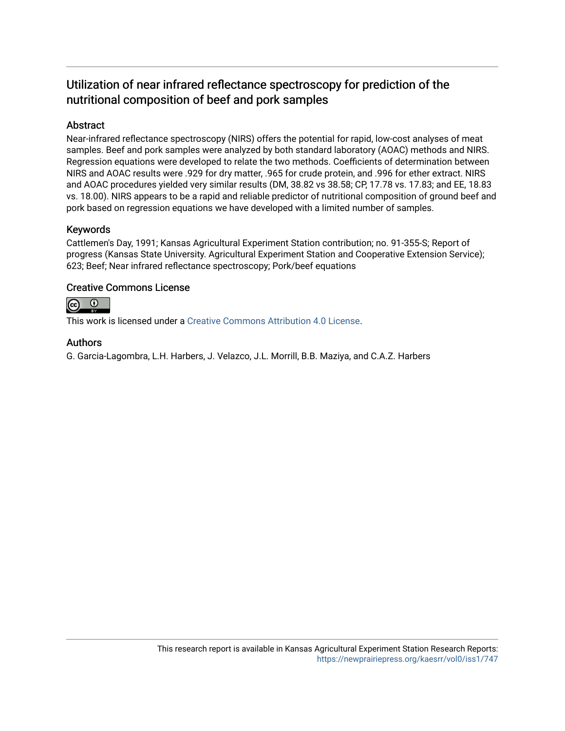# Utilization of near infrared reflectance spectroscopy for prediction of the nutritional composition of beef and pork samples

# Abstract

Near-infrared reflectance spectroscopy (NIRS) offers the potential for rapid, low-cost analyses of meat samples. Beef and pork samples were analyzed by both standard laboratory (AOAC) methods and NIRS. Regression equations were developed to relate the two methods. Coefficients of determination between NIRS and AOAC results were .929 for dry matter, .965 for crude protein, and .996 for ether extract. NIRS and AOAC procedures yielded very similar results (DM, 38.82 vs 38.58; CP, 17.78 vs. 17.83; and EE, 18.83 vs. 18.00). NIRS appears to be a rapid and reliable predictor of nutritional composition of ground beef and pork based on regression equations we have developed with a limited number of samples.

# Keywords

Cattlemen's Day, 1991; Kansas Agricultural Experiment Station contribution; no. 91-355-S; Report of progress (Kansas State University. Agricultural Experiment Station and Cooperative Extension Service); 623; Beef; Near infrared reflectance spectroscopy; Pork/beef equations

# Creative Commons License



This work is licensed under a [Creative Commons Attribution 4.0 License](https://creativecommons.org/licenses/by/4.0/).

# Authors

G. Garcia-Lagombra, L.H. Harbers, J. Velazco, J.L. Morrill, B.B. Maziya, and C.A.Z. Harbers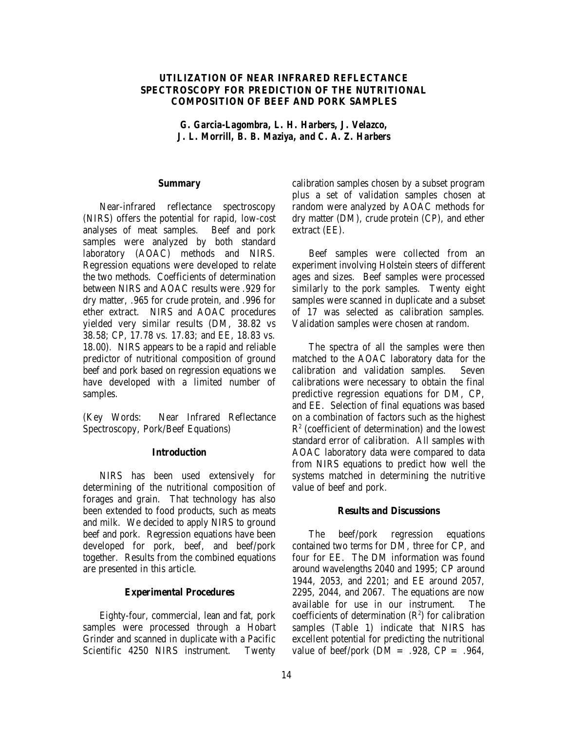### **UTILIZATION OF NEAR INFRARED REFLECTANCE SPECTROSCOPY FOR PREDICTION OF THE NUTRITIONAL COMPOSITION OF BEEF AND PORK SAMPLES**

*G. Garcia-Lagombra, L. H. Harbers, J. Velazco, J. L. Morrill, B. B. Maziya, and C. A. Z. Harbers*

#### **Summary**

Near-infrared reflectance spectroscopy (NIRS) offers the potential for rapid, low-cost analyses of meat samples. Beef and pork samples were analyzed by both standard laboratory (AOAC) methods and NIRS. Regression equations were developed to relate the two methods. Coefficients of determination between NIRS and AOAC results were .929 for dry matter, .965 for crude protein, and .996 for ether extract. NIRS and AOAC procedures yielded very similar results (DM, 38.82 vs 38.58; CP, 17.78 vs. 17.83; and EE, 18.83 vs. 18.00). NIRS appears to be a rapid and reliable predictor of nutritional composition of ground beef and pork based on regression equations we have developed with a limited number of samples.

(Key Words: Near Infrared Reflectance Spectroscopy, Pork/Beef Equations)

#### **Introduction**

NIRS has been used extensively for determining of the nutritional composition of forages and grain. That technology has also been extended to food products, such as meats and milk. We decided to apply NIRS to ground beef and pork. Regression equations have been developed for pork, beef, and beef/pork together. Results from the combined equations are presented in this article.

#### **Experimental Procedures**

Eighty-four, commercial, lean and fat, pork samples were processed through a Hobart Grinder and scanned in duplicate with a Pacific Scientific 4250 NIRS instrument. Twenty calibration samples chosen by a subset program plus a set of validation samples chosen at random were analyzed by AOAC methods for dry matter (DM), crude protein (CP), and ether extract (EE).

Beef samples were collected from an experiment involving Holstein steers of different ages and sizes. Beef samples were processed similarly to the pork samples. Twenty eight samples were scanned in duplicate and a subset of 17 was selected as calibration samples. Validation samples were chosen at random.

The spectra of all the samples were then matched to the AOAC laboratory data for the calibration and validation samples. Seven calibrations were necessary to obtain the final predictive regression equations for DM, CP, and EE. Selection of final equations was based on a combination of factors such as the highest  $\mathbb{R}^2$  (coefficient of determination) and the lowest standard error of calibration. All samples with AOAC laboratory data were compared to data from NIRS equations to predict how well the systems matched in determining the nutritive value of beef and pork.

#### **Results and Discussions**

The beef/pork regression equations contained two terms for DM, three for CP, and four for EE. The DM information was found around wavelengths 2040 and 1995; CP around 1944, 2053, and 2201; and EE around 2057, 2295, 2044, and 2067. The equations are now available for use in our instrument. The coefficients of determination  $(R^2)$  for calibration samples (Table 1) indicate that NIRS has excellent potential for predicting the nutritional value of beef/pork  $(DM = .928, CP = .964,$